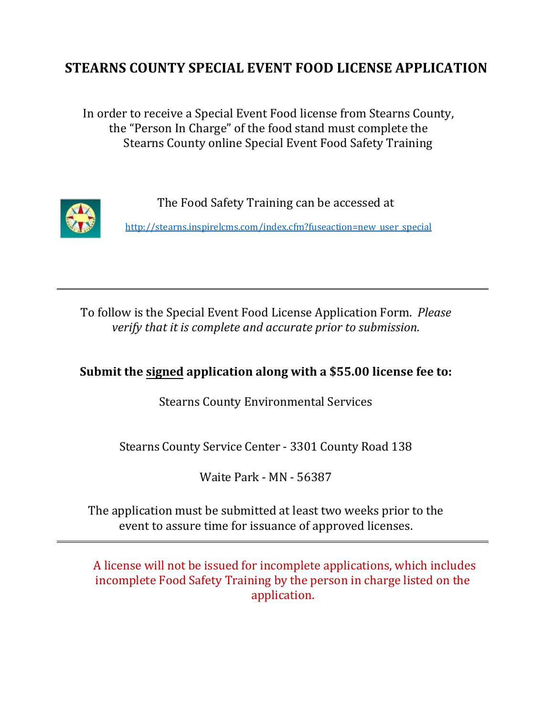# **STEARNS COUNTY SPECIAL EVENT FOOD LICENSE APPLICATION**

In order to receive a Special Event Food license from Stearns County, the "Person In Charge" of the food stand must complete the Stearns County online Special Event Food Safety Training



The Food Safety Training can be accessed at

[http://stearns.inspirelcms.com/index.cfm?fuseaction=new\\_user\\_special](http://stearns.inspirelcms.com/index.cfm?fuseaction=new_user_special)

To follow is the Special Event Food License Application Form. *Please verify that it is complete and accurate prior to submission.* 

# **Submit the signed application along with a \$55.00 license fee to:**

Stearns County Environmental Services

Stearns County Service Center - 3301 County Road 138

Waite Park - MN - 56387

The application must be submitted at least two weeks prior to the event to assure time for issuance of approved licenses.

A license will not be issued for incomplete applications, which includes incomplete Food Safety Training by the person in charge listed on the application.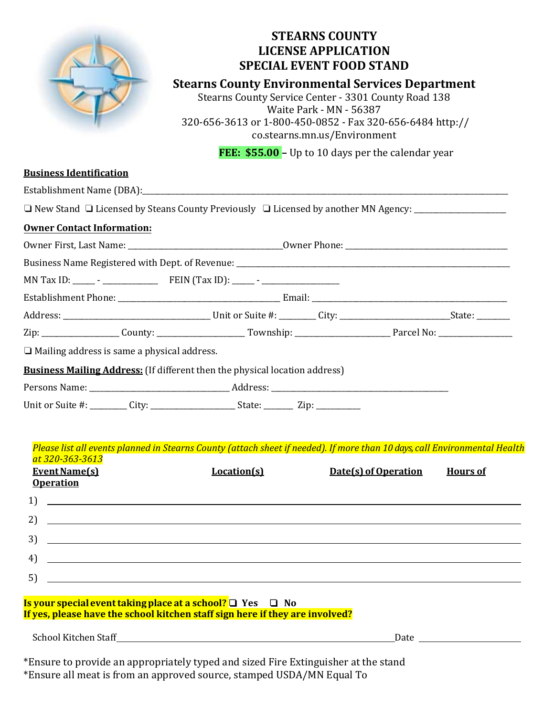

# **STEARNS COUNTY LICENSE APPLICATION SPECIAL EVENT FOOD STAND**

# **Stearns County Environmental Services Department**

Stearns County Service Center - 3301 County Road 138 Waite Park - MN - 56387 320-656-3[613 or 1-800-450-0852 -](http://co.stearns.mn.us/Environment) Fax 320-656-6484 http:// co.stearns.mn.us/Environment

FEE: \$55.00 - Up to 10 days per the calendar year

| <b>Business Identification</b>                                                                                                                                                                                                    |                                                                                                                                           |  |                      |                 |  |  |  |  |
|-----------------------------------------------------------------------------------------------------------------------------------------------------------------------------------------------------------------------------------|-------------------------------------------------------------------------------------------------------------------------------------------|--|----------------------|-----------------|--|--|--|--|
|                                                                                                                                                                                                                                   |                                                                                                                                           |  |                      |                 |  |  |  |  |
| □ New Stand □ Licensed by Steans County Previously □ Licensed by another MN Agency: _______________                                                                                                                               |                                                                                                                                           |  |                      |                 |  |  |  |  |
| <b>Owner Contact Information:</b>                                                                                                                                                                                                 |                                                                                                                                           |  |                      |                 |  |  |  |  |
|                                                                                                                                                                                                                                   |                                                                                                                                           |  |                      |                 |  |  |  |  |
|                                                                                                                                                                                                                                   |                                                                                                                                           |  |                      |                 |  |  |  |  |
|                                                                                                                                                                                                                                   |                                                                                                                                           |  |                      |                 |  |  |  |  |
|                                                                                                                                                                                                                                   |                                                                                                                                           |  |                      |                 |  |  |  |  |
|                                                                                                                                                                                                                                   |                                                                                                                                           |  |                      |                 |  |  |  |  |
|                                                                                                                                                                                                                                   |                                                                                                                                           |  |                      |                 |  |  |  |  |
| $\Box$ Mailing address is same a physical address.                                                                                                                                                                                |                                                                                                                                           |  |                      |                 |  |  |  |  |
| <b>Business Mailing Address:</b> (If different then the physical location address)                                                                                                                                                |                                                                                                                                           |  |                      |                 |  |  |  |  |
|                                                                                                                                                                                                                                   |                                                                                                                                           |  |                      |                 |  |  |  |  |
|                                                                                                                                                                                                                                   |                                                                                                                                           |  |                      |                 |  |  |  |  |
|                                                                                                                                                                                                                                   |                                                                                                                                           |  |                      |                 |  |  |  |  |
| at 320-363-3613<br><b>Event Name(s)</b>                                                                                                                                                                                           | Please list all events planned in Stearns County (attach sheet if needed). If more than 10 days, call Environmental Health<br>Location(s) |  | Date(s) of Operation | <b>Hours of</b> |  |  |  |  |
| <b>Operation</b>                                                                                                                                                                                                                  |                                                                                                                                           |  |                      |                 |  |  |  |  |
| $\frac{1}{2}$ . The contract of the contract of the contract of the contract of the contract of the contract of the contract of the contract of the contract of the contract of the contract of the contract of the contract of t |                                                                                                                                           |  |                      |                 |  |  |  |  |
| 2)                                                                                                                                                                                                                                | <u> 1999 - John Harry Harry Harry Harry Harry Harry Harry Harry Harry Harry Harry Harry Harry Harry Harry Harry H</u>                     |  |                      |                 |  |  |  |  |
| 3)                                                                                                                                                                                                                                | <u> Andreas Andreas Andreas Andreas Andreas Andreas Andreas Andreas Andreas Andreas Andreas Andreas Andreas Andr</u>                      |  |                      |                 |  |  |  |  |
| 4)                                                                                                                                                                                                                                | <u> 1989 - Andrea Santa Andrea Andrea Andrea Andrea Andrea Andrea Andrea Andrea Andrea Andrea Andrea Andrea Andr</u>                      |  |                      |                 |  |  |  |  |
| 5)                                                                                                                                                                                                                                | <u> 1989 - Johann Stoff, deutscher Stoff, der Stoff, der Stoff, der Stoff, der Stoff, der Stoff, der Stoff, der S</u>                     |  |                      |                 |  |  |  |  |
| Is your special event taking place at a school? □ Yes □ No                                                                                                                                                                        |                                                                                                                                           |  |                      |                 |  |  |  |  |
| If yes, please have the school kitchen staff sign here if they are involved?                                                                                                                                                      |                                                                                                                                           |  |                      |                 |  |  |  |  |

\*Ensure to provide an appropriately typed and sized Fire Extinguisher at the stand \*Ensure all meat is from an approved source, stamped USDA/MN Equal To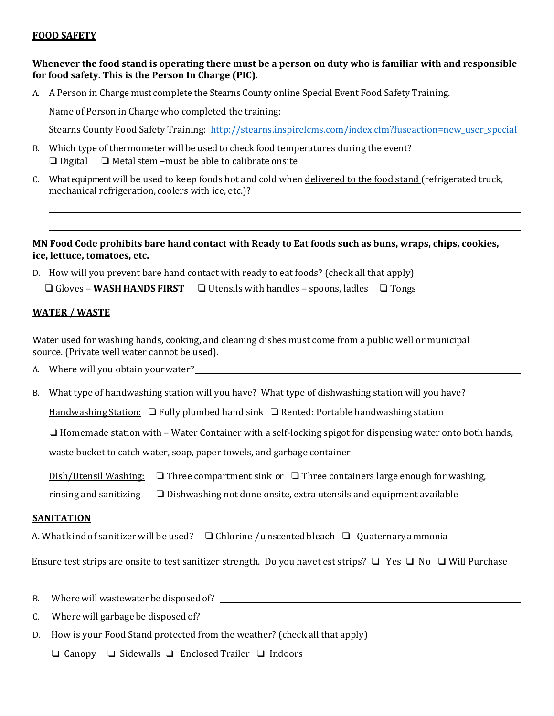### **FOOD SAFETY**

## **Whenever the food stand is operating there must be a person on duty who is familiar with and responsible for food safety. This is the Person In Charge (PIC).**

A. A Person in Charge must complete the Stearns County online Special Event Food Safety Training.

Name of Person in Charge who completed the training:

Stearns County Food Safety Training: [http://stearns.inspirelcms.com/index.cfm?fuseaction=new\\_user\\_special](http://stearns.inspirelcms.com/index.cfm?fuseaction=new_user_special)

 $\mathcal{L} = \{ \mathcal{L} = \{ \mathcal{L} = \mathcal{L} \} \cup \{ \mathcal{L} = \{ \mathcal{L} = \mathcal{L} \} \cup \{ \mathcal{L} = \{ \mathcal{L} = \mathcal{L} = \mathcal{L} \} \cup \{ \mathcal{L} = \{ \mathcal{L} = \mathcal{L} = \mathcal{L} = \mathcal{L} = \mathcal{L} = \mathcal{L} \} \cup \{ \mathcal{L} = \{ \mathcal{L} = \mathcal{L} = \mathcal{L} = \mathcal{L} = \mathcal{L} = \mathcal{L} \} \cup \{ \mathcal{L} = \$ 

- B. Which type of thermometerwill be used to check food temperatures during the event? ❏ Digital ❏ Metal stem –must be able to calibrate onsite
- C. What equipment will be used to keep foods hot and cold when delivered to the food stand (refrigerated truck, mechanical refrigeration, coolers with ice, etc.)?

## **MN Food Code prohibits bare hand contact with Ready to Eat foods such as buns, wraps, chips, cookies, ice, lettuce, tomatoes, etc.**

D. How will you prevent bare hand contact with ready to eat foods? (check all that apply) ❏ Gloves – **WASH HANDS FIRST** ❏ Utensils with handles – spoons, ladles ❏ Tongs

### **WATER / WASTE**

Water used for washing hands, cooking, and cleaning dishes must come from a public well or municipal source. (Private well water cannot be used).

- A. Where will you obtain yourwater?
- B. What type of handwashing station will you have? What type of dishwashing station will you have?

Handwashing Station: □ Fully plumbed hand sink □ Rented: Portable handwashing station

❏ Homemade station with – Water Container with a self-locking spigot for dispensing water onto both hands,

waste bucket to catch water, soap, paper towels, and garbage container

Dish/Utensil Washing: ❏ Three compartment sink or ❏ Three containers large enough for washing,

rinsing and sanitizing ❏ Dishwashing not done onsite, extra utensils and equipment available

#### **SANITATION**

A. What kind of sanitizer will be used?  $\Box$  Chlorine / unscented bleach  $\Box$  Quaternary a mmonia

Ensure test strips are onsite to test sanitizer strength. Do you have t est strips? ❏ Yes ❏ No ❏ Will Purchase

- B. Wherewill wastewaterbe disposed of?
- C. Where will garbage be disposed of?
- D. How is your Food Stand protected from the weather? (check all that apply)

❏ Canopy ❏ Sidewalls ❏ Enclosed Trailer ❏ Indoors